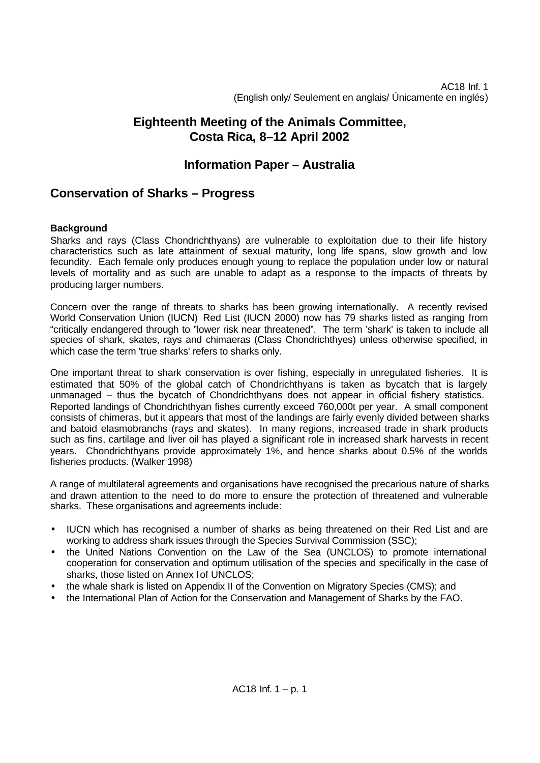AC18 Inf. 1 (English only/ Seulement en anglais/ Únicamente en inglés)

# **Eighteenth Meeting of the Animals Committee, Costa Rica, 8–12 April 2002**

## **Information Paper – Australia**

## **Conservation of Sharks – Progress**

## **Background**

Sharks and rays (Class Chondrichthyans) are vulnerable to exploitation due to their life history characteristics such as late attainment of sexual maturity, long life spans, slow growth and low fecundity. Each female only produces enough young to replace the population under low or natural levels of mortality and as such are unable to adapt as a response to the impacts of threats by producing larger numbers.

Concern over the range of threats to sharks has been growing internationally. A recently revised World Conservation Union (IUCN) Red List (IUCN 2000) now has 79 sharks listed as ranging from "critically endangered through to "lower risk near threatened". The term 'shark' is taken to include all species of shark, skates, rays and chimaeras (Class Chondrichthyes) unless otherwise specified, in which case the term 'true sharks' refers to sharks only.

One important threat to shark conservation is over fishing, especially in unregulated fisheries. It is estimated that 50% of the global catch of Chondrichthyans is taken as bycatch that is largely unmanaged – thus the bycatch of Chondrichthyans does not appear in official fishery statistics. Reported landings of Chondrichthyan fishes currently exceed 760,000t per year. A small component consists of chimeras, but it appears that most of the landings are fairly evenly divided between sharks and batoid elasmobranchs (rays and skates). In many regions, increased trade in shark products such as fins, cartilage and liver oil has played a significant role in increased shark harvests in recent years. Chondrichthyans provide approximately 1%, and hence sharks about 0.5% of the worlds fisheries products. (Walker 1998)

A range of multilateral agreements and organisations have recognised the precarious nature of sharks and drawn attention to the need to do more to ensure the protection of threatened and vulnerable sharks. These organisations and agreements include:

- IUCN which has recognised a number of sharks as being threatened on their Red List and are working to address shark issues through the Species Survival Commission (SSC);
- the United Nations Convention on the Law of the Sea (UNCLOS) to promote international cooperation for conservation and optimum utilisation of the species and specifically in the case of sharks, those listed on Annex I of UNCLOS:
- the whale shark is listed on Appendix II of the Convention on Migratory Species (CMS); and
- the International Plan of Action for the Conservation and Management of Sharks by the FAO.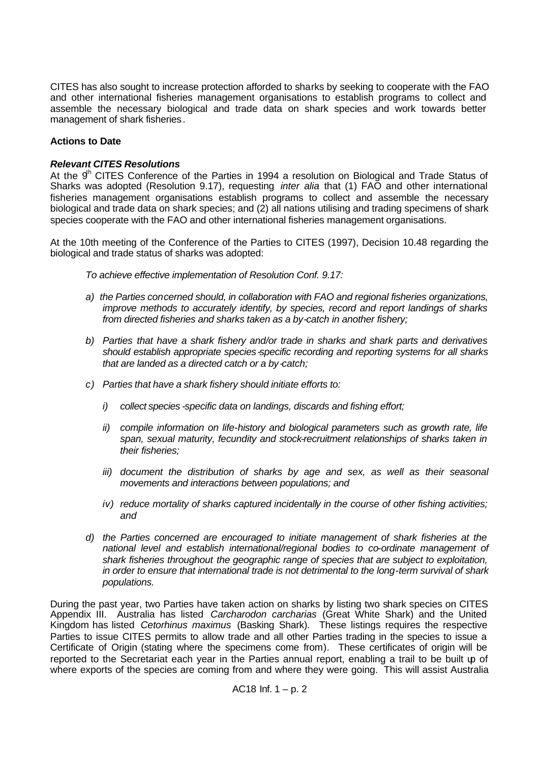CITES has also sought to increase protection afforded to sharks by seeking to cooperate with the FAO and other international fisheries management organisations to establish programs to collect and assemble the necessary biological and trade data on shark species and work towards better management of shark fisheries.

## **Actions to Date**

### *Relevant CITES Resolutions*

At the  $9<sup>th</sup>$  CITES Conference of the Parties in 1994 a resolution on Biological and Trade Status of Sharks was adopted (Resolution 9.17), requesting *inter alia* that (1) FAO and other international fisheries management organisations establish programs to collect and assemble the necessary biological and trade data on shark species; and (2) all nations utilising and trading specimens of shark species cooperate with the FAO and other international fisheries management organisations.

At the 10th meeting of the Conference of the Parties to CITES (1997), Decision 10.48 regarding the biological and trade status of sharks was adopted:

*To achieve effective implementation of Resolution Conf. 9.17:*

- *a) the Parties concerned should, in collaboration with FAO and regional fisheries organizations, improve methods to accurately identify, by species, record and report landings of sharks from directed fisheries and sharks taken as a by-catch in another fishery;*
- *b) Parties that have a shark fishery and/or trade in sharks and shark parts and derivatives should establish appropriate species-specific recording and reporting systems for all sharks that are landed as a directed catch or a by-catch;*
- *c) Parties that have a shark fishery should initiate efforts to:* 
	- *i) collect species -specific data on landings, discards and fishing effort;*
	- *ii*) *compile information on life-history and biological parameters such as growth rate, life span, sexual maturity, fecundity and stock-recruitment relationships of sharks taken in their fisheries;*
	- *iii) document the distribution of sharks by age and sex, as well as their seasonal movements and interactions between populations; and*
	- *iv) reduce mortality of sharks captured incidentally in the course of other fishing activities; and*
- *d) the Parties concerned are encouraged to initiate management of shark fisheries at the national level and establish international/regional bodies to co-ordinate management of shark fisheries throughout the geographic range of species that are subject to exploitation, in order to ensure that international trade is not detrimental to the long-term survival of shark populations.*

During the past year, two Parties have taken action on sharks by listing two shark species on CITES Appendix III. Australia has listed *Carcharodon carcharias* (Great White Shark) and the United Kingdom has listed *Cetorhinus maximus* (Basking Shark). These listings requires the respective Parties to issue CITES permits to allow trade and all other Parties trading in the species to issue a Certificate of Origin (stating where the specimens come from). These certificates of origin will be reported to the Secretariat each year in the Parties annual report, enabling a trail to be built up of where exports of the species are coming from and where they were going. This will assist Australia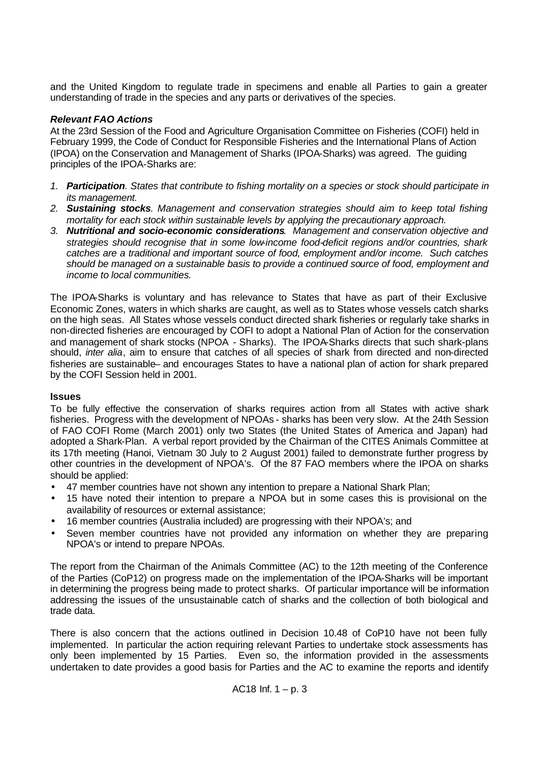and the United Kingdom to regulate trade in specimens and enable all Parties to gain a greater understanding of trade in the species and any parts or derivatives of the species.

### *Relevant FAO Actions*

At the 23rd Session of the Food and Agriculture Organisation Committee on Fisheries (COFI) held in February 1999, the Code of Conduct for Responsible Fisheries and the International Plans of Action (IPOA) on the Conservation and Management of Sharks (IPOA-Sharks) was agreed. The guiding principles of the IPOA-Sharks are:

- *1. Participation. States that contribute to fishing mortality on a species or stock should participate in its management.*
- *2. Sustaining stocks. Management and conservation strategies should aim to keep total fishing mortality for each stock within sustainable levels by applying the precautionary approach.*
- *3. Nutritional and socio-economic considerations. Management and conservation objective and strategies should recognise that in some low-income food-deficit regions and/or countries, shark catches are a traditional and important source of food, employment and/or income. Such catches should be managed on a sustainable basis to provide a continued source of food, employment and income to local communities.*

The IPOA-Sharks is voluntary and has relevance to States that have as part of their Exclusive Economic Zones, waters in which sharks are caught, as well as to States whose vessels catch sharks on the high seas. All States whose vessels conduct directed shark fisheries or regularly take sharks in non-directed fisheries are encouraged by COFI to adopt a National Plan of Action for the conservation and management of shark stocks (NPOA - Sharks). The IPOA-Sharks directs that such shark-plans should, *inter alia*, aim to ensure that catches of all species of shark from directed and non-directed fisheries are sustainable– and encourages States to have a national plan of action for shark prepared by the COFI Session held in 2001.

#### **Issues**

To be fully effective the conservation of sharks requires action from all States with active shark fisheries. Progress with the development of NPOAs - sharks has been very slow. At the 24th Session of FAO COFI Rome (March 2001) only two States (the United States of America and Japan) had adopted a Shark-Plan. A verbal report provided by the Chairman of the CITES Animals Committee at its 17th meeting (Hanoi, Vietnam 30 July to 2 August 2001) failed to demonstrate further progress by other countries in the development of NPOA's. Of the 87 FAO members where the IPOA on sharks should be applied:

- 47 member countries have not shown any intention to prepare a National Shark Plan;
- 15 have noted their intention to prepare a NPOA but in some cases this is provisional on the availability of resources or external assistance;
- 16 member countries (Australia included) are progressing with their NPOA's; and
- Seven member countries have not provided any information on whether they are preparing NPOA's or intend to prepare NPOAs.

The report from the Chairman of the Animals Committee (AC) to the 12th meeting of the Conference of the Parties (CoP12) on progress made on the implementation of the IPOA-Sharks will be important in determining the progress being made to protect sharks. Of particular importance will be information addressing the issues of the unsustainable catch of sharks and the collection of both biological and trade data.

There is also concern that the actions outlined in Decision 10.48 of CoP10 have not been fully implemented. In particular the action requiring relevant Parties to undertake stock assessments has only been implemented by 15 Parties. Even so, the information provided in the assessments undertaken to date provides a good basis for Parties and the AC to examine the reports and identify